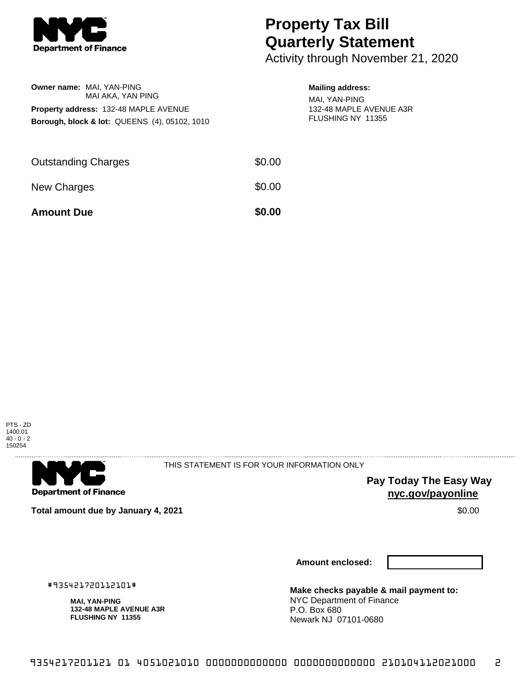

**Owner name:** MAI, YAN-PING

MAI AKA, YAN PING

**Property address:** 132-48 MAPLE AVENUE **Borough, block & lot:** QUEENS (4), 05102, 1010

## **Property Tax Bill Quarterly Statement**

Activity through November 21, 2020

## **Mailing address:**

MAI, YAN-PING 132-48 MAPLE AVENUE A3R FLUSHING NY 11355

| <b>Amount Due</b>          | \$0.00 |
|----------------------------|--------|
| New Charges                | \$0.00 |
| <b>Outstanding Charges</b> | \$0.00 |



. . . . . . . . . . . . . . . . .

**Department of Finance** 

. . . . . . . . . . . . . . .

THIS STATEMENT IS FOR YOUR INFORMATION ONLY

**Pay Today The Easy Way nyc.gov/payonline**

**Total amount due by January 4, 2021** \$0.00

#935421720112101# **MAI, YAN-PING**

**Amount enclosed:**

**Make checks payable & mail payment to:** NYC Department of Finance P.O. Box 680 Newark NJ 07101-0680

**132-48 MAPLE AVENUE A3R FLUSHING NY 11355**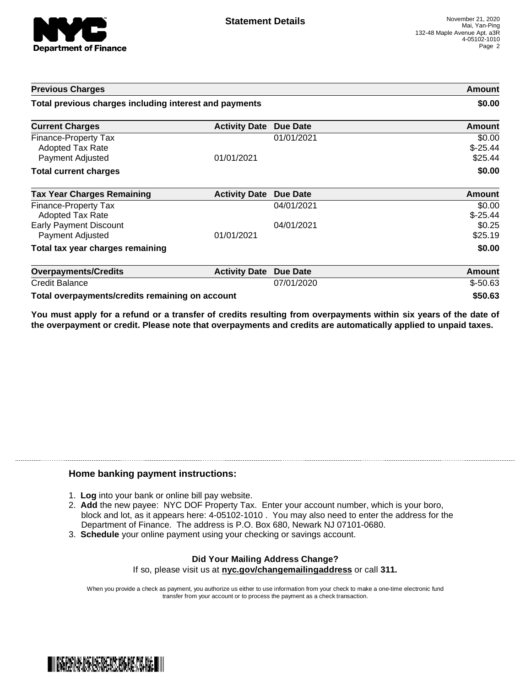

| <b>Previous Charges</b>                                             |                      |                 | Amount                          |
|---------------------------------------------------------------------|----------------------|-----------------|---------------------------------|
| Total previous charges including interest and payments              |                      |                 | \$0.00                          |
| <b>Current Charges</b>                                              | <b>Activity Date</b> | <b>Due Date</b> | Amount                          |
| Finance-Property Tax<br><b>Adopted Tax Rate</b><br>Payment Adjusted | 01/01/2021           | 01/01/2021      | \$0.00<br>$$ -25.44$<br>\$25.44 |
| <b>Total current charges</b>                                        |                      |                 | \$0.00                          |
| <b>Tax Year Charges Remaining</b>                                   | <b>Activity Date</b> | Due Date        | <b>Amount</b>                   |
| Finance-Property Tax<br>Adopted Tax Rate                            |                      | 04/01/2021      | \$0.00<br>$$ -25.44$            |
| <b>Early Payment Discount</b><br>Payment Adjusted                   | 01/01/2021           | 04/01/2021      | \$0.25<br>\$25.19               |
| Total tax year charges remaining                                    |                      |                 | \$0.00                          |
| <b>Overpayments/Credits</b>                                         | <b>Activity Date</b> | Due Date        | <b>Amount</b>                   |
| <b>Credit Balance</b>                                               |                      | 07/01/2020      | $$-50.63$                       |
| Total overpayments/credits remaining on account                     |                      |                 | \$50.63                         |

You must apply for a refund or a transfer of credits resulting from overpayments within six years of the date of **the overpayment or credit. Please note that overpayments and credits are automatically applied to unpaid taxes.**

## **Home banking payment instructions:**

- 1. **Log** into your bank or online bill pay website.
- 2. **Add** the new payee: NYC DOF Property Tax. Enter your account number, which is your boro, block and lot, as it appears here: 4-05102-1010 . You may also need to enter the address for the Department of Finance. The address is P.O. Box 680, Newark NJ 07101-0680.
- 3. **Schedule** your online payment using your checking or savings account.

## **Did Your Mailing Address Change?** If so, please visit us at **nyc.gov/changemailingaddress** or call **311.**

When you provide a check as payment, you authorize us either to use information from your check to make a one-time electronic fund transfer from your account or to process the payment as a check transaction.